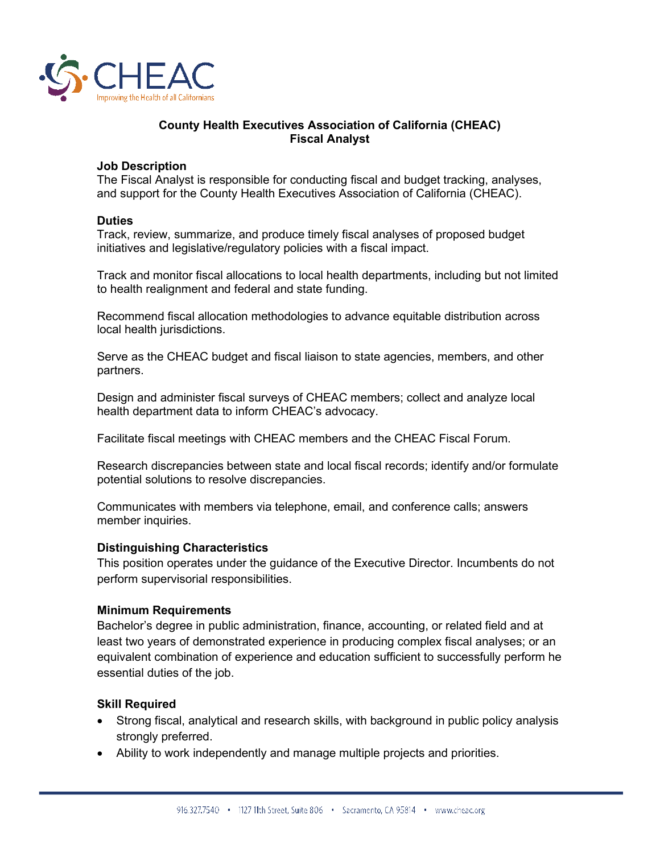

## **County Health Executives Association of California (CHEAC) Fiscal Analyst**

### **Job Description**

The Fiscal Analyst is responsible for conducting fiscal and budget tracking, analyses, and support for the County Health Executives Association of California (CHEAC).

#### **Duties**

Track, review, summarize, and produce timely fiscal analyses of proposed budget initiatives and legislative/regulatory policies with a fiscal impact.

Track and monitor fiscal allocations to local health departments, including but not limited to health realignment and federal and state funding.

Recommend fiscal allocation methodologies to advance equitable distribution across local health jurisdictions.

Serve as the CHEAC budget and fiscal liaison to state agencies, members, and other partners.

Design and administer fiscal surveys of CHEAC members; collect and analyze local health department data to inform CHEAC's advocacy.

Facilitate fiscal meetings with CHEAC members and the CHEAC Fiscal Forum.

Research discrepancies between state and local fiscal records; identify and/or formulate potential solutions to resolve discrepancies.

Communicates with members via telephone, email, and conference calls; answers member inquiries.

#### **Distinguishing Characteristics**

This position operates under the guidance of the Executive Director. Incumbents do not perform supervisorial responsibilities.

#### **Minimum Requirements**

Bachelor's degree in public administration, finance, accounting, or related field and at least two years of demonstrated experience in producing complex fiscal analyses; or an equivalent combination of experience and education sufficient to successfully perform he essential duties of the job.

#### **Skill Required**

- Strong fiscal, analytical and research skills, with background in public policy analysis strongly preferred.
- Ability to work independently and manage multiple projects and priorities.